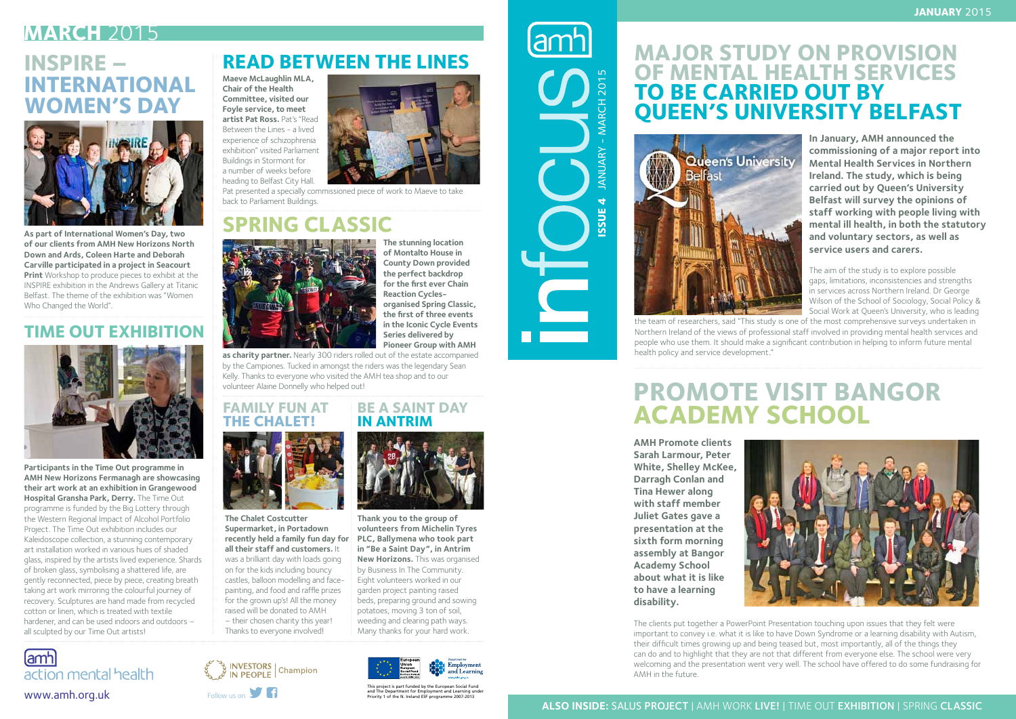

**In January, AMH announced the commissioning of a major report into Mental Health Services in Northern Ireland. The study, which is being carried out by Queen's University Belfast will survey the opinions of staff working with people living with mental ill health, in both the statutory and voluntary sectors, as well as service users and carers.** 

The aim of the study is to explore possible gaps, limitations, inconsistencies and strengths in services across Northern Ireland. Dr George Wilson of the School of Sociology, Social Policy & Social Work at Queen's University, who is leading



the team of researchers, said "This study is one of the most comprehensive surveys undertaken in Northern Ireland of the views of professional staff involved in providing mental health services and people who use them. It should make a significant contribution in helping to inform future mental health policy and service development."

### **Major Study on Provision of Mental Health Services TO BE CARRIED OUT BY Queen's University Belfast**



## **Promote visit Bangor Academy School**

**AMH Promote clients Sarah Larmour, Peter White, Shelley McKee, Darragh Conlan and Tina Hewer along with staff member Juliet Gates gave a presentation at the sixth form morning assembly at Bangor Academy School about what it is like to have a learning disability.** 



The clients put together a PowerPoint Presentation touching upon issues that they felt were important to convey i.e. what it is like to have Down Syndrome or a learning disability with Autism, their difficult times growing up and being teased but, most importantly, all of the things they can do and to highlight that they are not that different from everyone else. The school were very welcoming and the presentation went very well. The school have offered to do some fundraising for AMH in the future.

This project is part funded by the European Social Fund







## **MARCH** 2015

## **Spring Classic**



### **Family Fun at The Chalet!**



## **Inspire – international women's day**



#### **Time Out Exhibition**



## **Read Between the Lines**

**The stunning location of Montalto House in County Down provided the perfect backdrop for the first ever Chain Reaction Cyclesorganised Spring Classic, the first of three events in the Iconic Cycle Events Series delivered by Pioneer Group with AMH** 

**as charity partner.** Nearly 300 riders rolled out of the estate accompanied by the Campiones. Tucked in amongst the riders was the legendary Sean Kelly. Thanks to everyone who visited the AMH tea shop and to our volunteer Alaine Donnelly who helped out!

**The Chalet Costcutter Supermarket, in Portadown recently held a family fun day for all their staff and customers.** It was a brilliant day with loads going on for the kids including bouncy castles, balloon modelling and facepainting, and food and raffle prizes for the grown up's! All the money raised will be donated to AMH – their chosen charity this year! Thanks to everyone involved!

**Maeve McLaughlin MLA, Chair of the Health Committee, visited our Foyle service, to meet artist Pat Ross.** Pat's "Read Between the Lines - a lived experience of schizophrenia exhibition" visited Parliament Buildings in Stormont for a number of weeks before heading to Belfast City Hall.

Pat presented a specially commissioned piece of work to Maeve to take back to Parliament Buildings.

**As part of International Women's Day, two of our clients from AMH New Horizons North Down and Ards, Coleen Harte and Deborah Carville participated in a project in Seacourt Print** Workshop to produce pieces to exhibit at the INSPIRE exhibition in the Andrews Gallery at Titanic Belfast. The theme of the exhibition was "Women Who Changed the World".

**Participants in the Time Out programme in AMH New Horizons Fermanagh are showcasing their art work at an exhibition in Grangewood Hospital Gransha Park, Derry.** The Time Out programme is funded by the Big Lottery through the Western Regional Impact of Alcohol Portfolio Project. The Time Out exhibition includes our Kaleidoscope collection, a stunning contemporary art installation worked in various hues of shaded glass, inspired by the artists lived experience. Shards of broken glass, symbolising a shattered life, are gently reconnected, piece by piece, creating breath taking art work mirroring the colourful journey of recovery. Sculptures are hand made from recycled cotton or linen, which is treated with textile hardener, and can be used indoors and outdoors – all sculpted by our Time Out artists!

**Be a Saint Day**



**Thank you to the group of volunteers from Michelin Tyres PLC, Ballymena who took part in "Be a Saint Day", in Antrim New Horizons.** This was organised by Business In The Community. Eight volunteers worked in our garden project painting raised beds, preparing ground and sowing potatoes, moving 3 ton of soil, weeding and clearing path ways. Many thanks for your hard work.